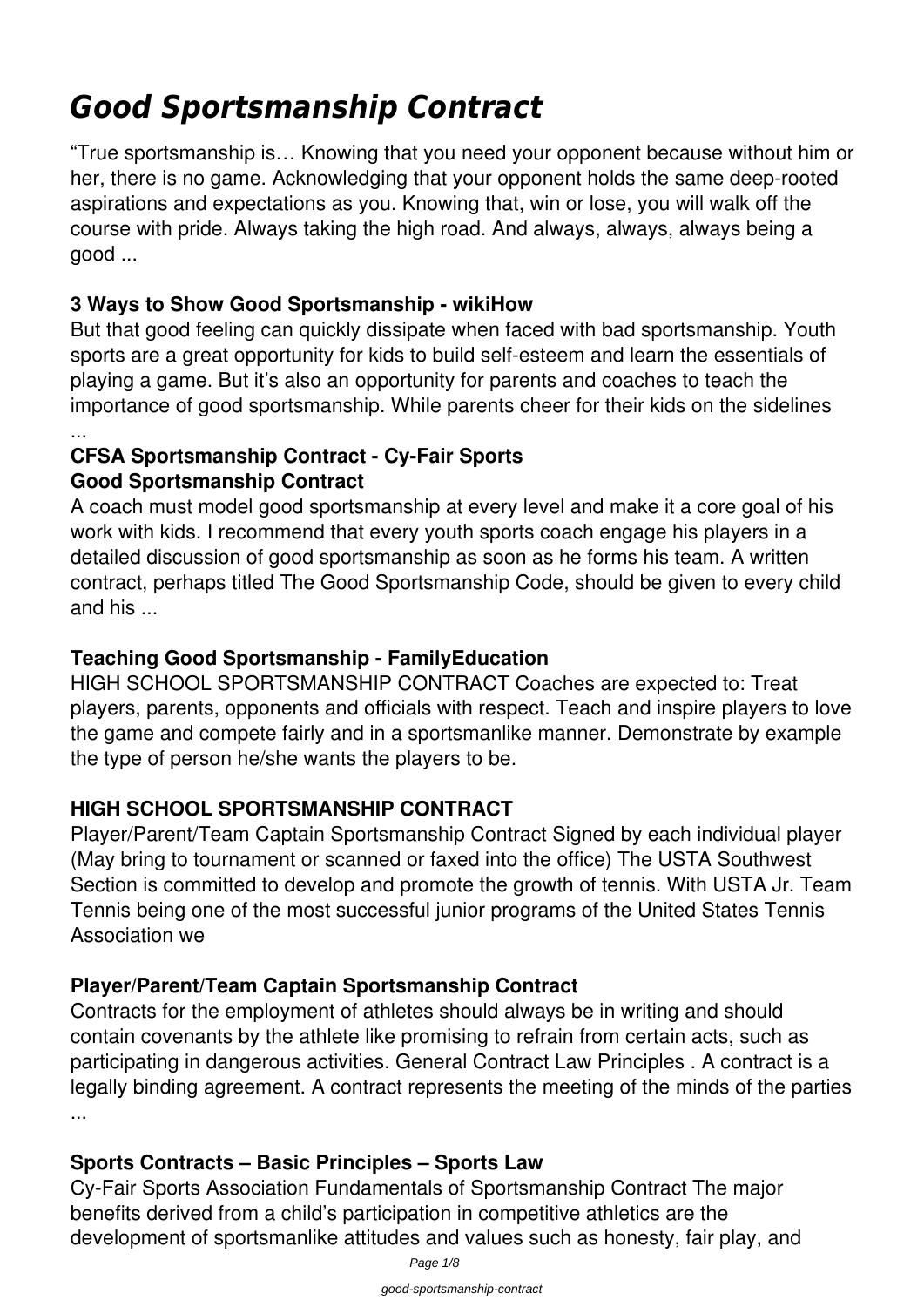# *Good Sportsmanship Contract*

"True sportsmanship is… Knowing that you need your opponent because without him or her, there is no game. Acknowledging that your opponent holds the same deep-rooted aspirations and expectations as you. Knowing that, win or lose, you will walk off the course with pride. Always taking the high road. And always, always, always being a good ...

## **3 Ways to Show Good Sportsmanship - wikiHow**

But that good feeling can quickly dissipate when faced with bad sportsmanship. Youth sports are a great opportunity for kids to build self-esteem and learn the essentials of playing a game. But it's also an opportunity for parents and coaches to teach the importance of good sportsmanship. While parents cheer for their kids on the sidelines

#### ... **CFSA Sportsmanship Contract - Cy-Fair Sports Good Sportsmanship Contract**

A coach must model good sportsmanship at every level and make it a core goal of his work with kids. I recommend that every youth sports coach engage his players in a detailed discussion of good sportsmanship as soon as he forms his team. A written contract, perhaps titled The Good Sportsmanship Code, should be given to every child and his ...

#### **Teaching Good Sportsmanship - FamilyEducation**

HIGH SCHOOL SPORTSMANSHIP CONTRACT Coaches are expected to: Treat players, parents, opponents and officials with respect. Teach and inspire players to love the game and compete fairly and in a sportsmanlike manner. Demonstrate by example the type of person he/she wants the players to be.

## **HIGH SCHOOL SPORTSMANSHIP CONTRACT**

Player/Parent/Team Captain Sportsmanship Contract Signed by each individual player (May bring to tournament or scanned or faxed into the office) The USTA Southwest Section is committed to develop and promote the growth of tennis. With USTA Jr. Team Tennis being one of the most successful junior programs of the United States Tennis Association we

#### **Player/Parent/Team Captain Sportsmanship Contract**

Contracts for the employment of athletes should always be in writing and should contain covenants by the athlete like promising to refrain from certain acts, such as participating in dangerous activities. General Contract Law Principles . A contract is a legally binding agreement. A contract represents the meeting of the minds of the parties ...

#### **Sports Contracts – Basic Principles – Sports Law**

Cy-Fair Sports Association Fundamentals of Sportsmanship Contract The major benefits derived from a child's participation in competitive athletics are the development of sportsmanlike attitudes and values such as honesty, fair play, and

Page 1/8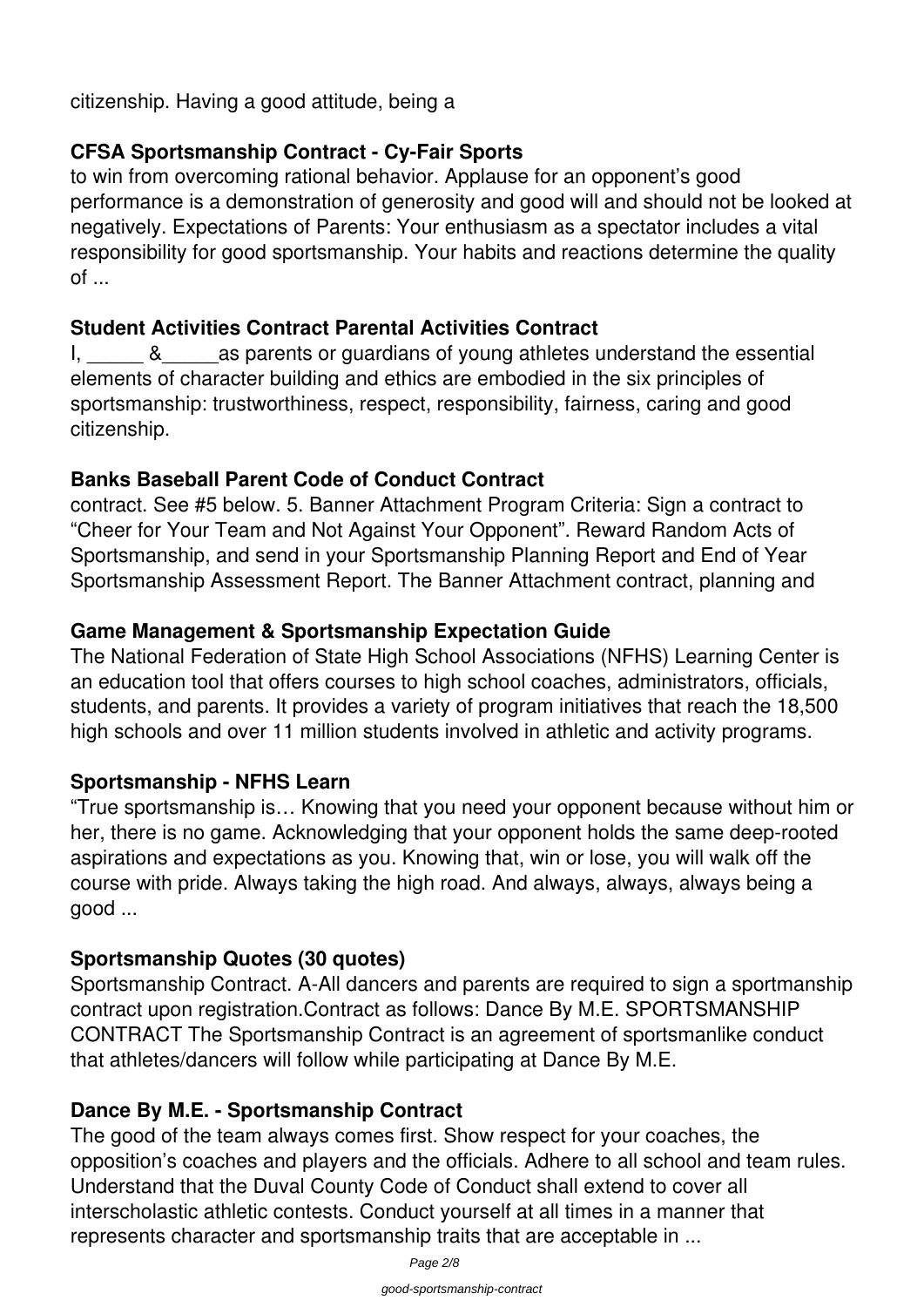citizenship. Having a good attitude, being a

## **CFSA Sportsmanship Contract - Cy-Fair Sports**

to win from overcoming rational behavior. Applause for an opponent's good performance is a demonstration of generosity and good will and should not be looked at negatively. Expectations of Parents: Your enthusiasm as a spectator includes a vital responsibility for good sportsmanship. Your habits and reactions determine the quality of ...

#### **Student Activities Contract Parental Activities Contract**

I, also as parents or guardians of young athletes understand the essential elements of character building and ethics are embodied in the six principles of sportsmanship: trustworthiness, respect, responsibility, fairness, caring and good citizenship.

#### **Banks Baseball Parent Code of Conduct Contract**

contract. See #5 below. 5. Banner Attachment Program Criteria: Sign a contract to "Cheer for Your Team and Not Against Your Opponent". Reward Random Acts of Sportsmanship, and send in your Sportsmanship Planning Report and End of Year Sportsmanship Assessment Report. The Banner Attachment contract, planning and

## **Game Management & Sportsmanship Expectation Guide**

The National Federation of State High School Associations (NFHS) Learning Center is an education tool that offers courses to high school coaches, administrators, officials, students, and parents. It provides a variety of program initiatives that reach the 18,500 high schools and over 11 million students involved in athletic and activity programs.

#### **Sportsmanship - NFHS Learn**

"True sportsmanship is… Knowing that you need your opponent because without him or her, there is no game. Acknowledging that your opponent holds the same deep-rooted aspirations and expectations as you. Knowing that, win or lose, you will walk off the course with pride. Always taking the high road. And always, always, always being a good ...

## **Sportsmanship Quotes (30 quotes)**

Sportsmanship Contract. A-All dancers and parents are required to sign a sportmanship contract upon registration.Contract as follows: Dance By M.E. SPORTSMANSHIP CONTRACT The Sportsmanship Contract is an agreement of sportsmanlike conduct that athletes/dancers will follow while participating at Dance By M.E.

## **Dance By M.E. - Sportsmanship Contract**

The good of the team always comes first. Show respect for your coaches, the opposition's coaches and players and the officials. Adhere to all school and team rules. Understand that the Duval County Code of Conduct shall extend to cover all interscholastic athletic contests. Conduct yourself at all times in a manner that represents character and sportsmanship traits that are acceptable in ...

Page 2/8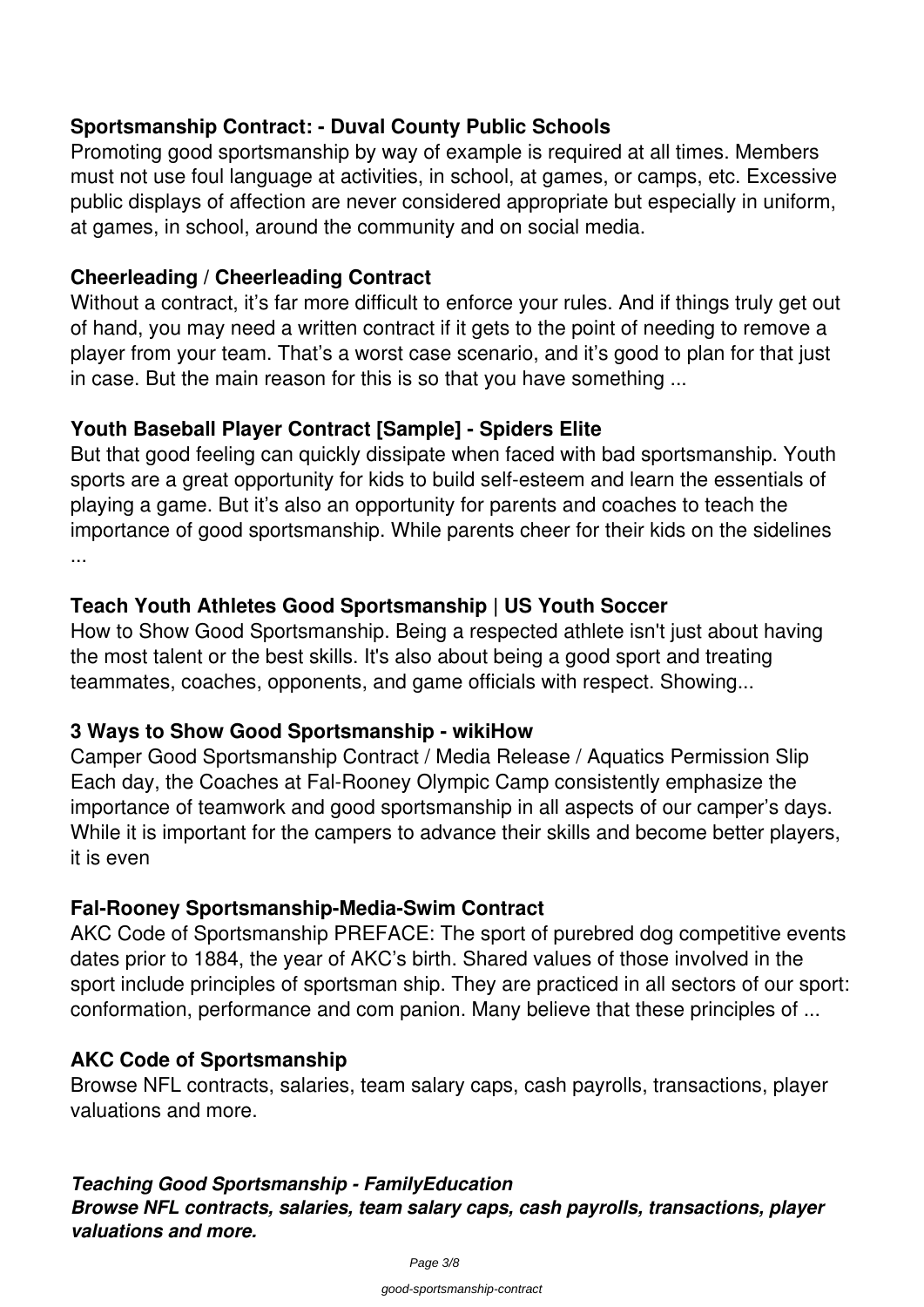#### **Sportsmanship Contract: - Duval County Public Schools**

Promoting good sportsmanship by way of example is required at all times. Members must not use foul language at activities, in school, at games, or camps, etc. Excessive public displays of affection are never considered appropriate but especially in uniform, at games, in school, around the community and on social media.

#### **Cheerleading / Cheerleading Contract**

Without a contract, it's far more difficult to enforce your rules. And if things truly get out of hand, you may need a written contract if it gets to the point of needing to remove a player from your team. That's a worst case scenario, and it's good to plan for that just in case. But the main reason for this is so that you have something ...

#### **Youth Baseball Player Contract [Sample] - Spiders Elite**

But that good feeling can quickly dissipate when faced with bad sportsmanship. Youth sports are a great opportunity for kids to build self-esteem and learn the essentials of playing a game. But it's also an opportunity for parents and coaches to teach the importance of good sportsmanship. While parents cheer for their kids on the sidelines ...

#### **Teach Youth Athletes Good Sportsmanship | US Youth Soccer**

How to Show Good Sportsmanship. Being a respected athlete isn't just about having the most talent or the best skills. It's also about being a good sport and treating teammates, coaches, opponents, and game officials with respect. Showing...

#### **3 Ways to Show Good Sportsmanship - wikiHow**

Camper Good Sportsmanship Contract / Media Release / Aquatics Permission Slip Each day, the Coaches at Fal-Rooney Olympic Camp consistently emphasize the importance of teamwork and good sportsmanship in all aspects of our camper's days. While it is important for the campers to advance their skills and become better players, it is even

#### **Fal-Rooney Sportsmanship-Media-Swim Contract**

AKC Code of Sportsmanship PREFACE: The sport of purebred dog competitive events dates prior to 1884, the year of AKC's birth. Shared values of those involved in the sport include principles of sportsman ship. They are practiced in all sectors of our sport: conformation, performance and com panion. Many believe that these principles of ...

#### **AKC Code of Sportsmanship**

Browse NFL contracts, salaries, team salary caps, cash payrolls, transactions, player valuations and more.

## *Teaching Good Sportsmanship - FamilyEducation*

*Browse NFL contracts, salaries, team salary caps, cash payrolls, transactions, player valuations and more.*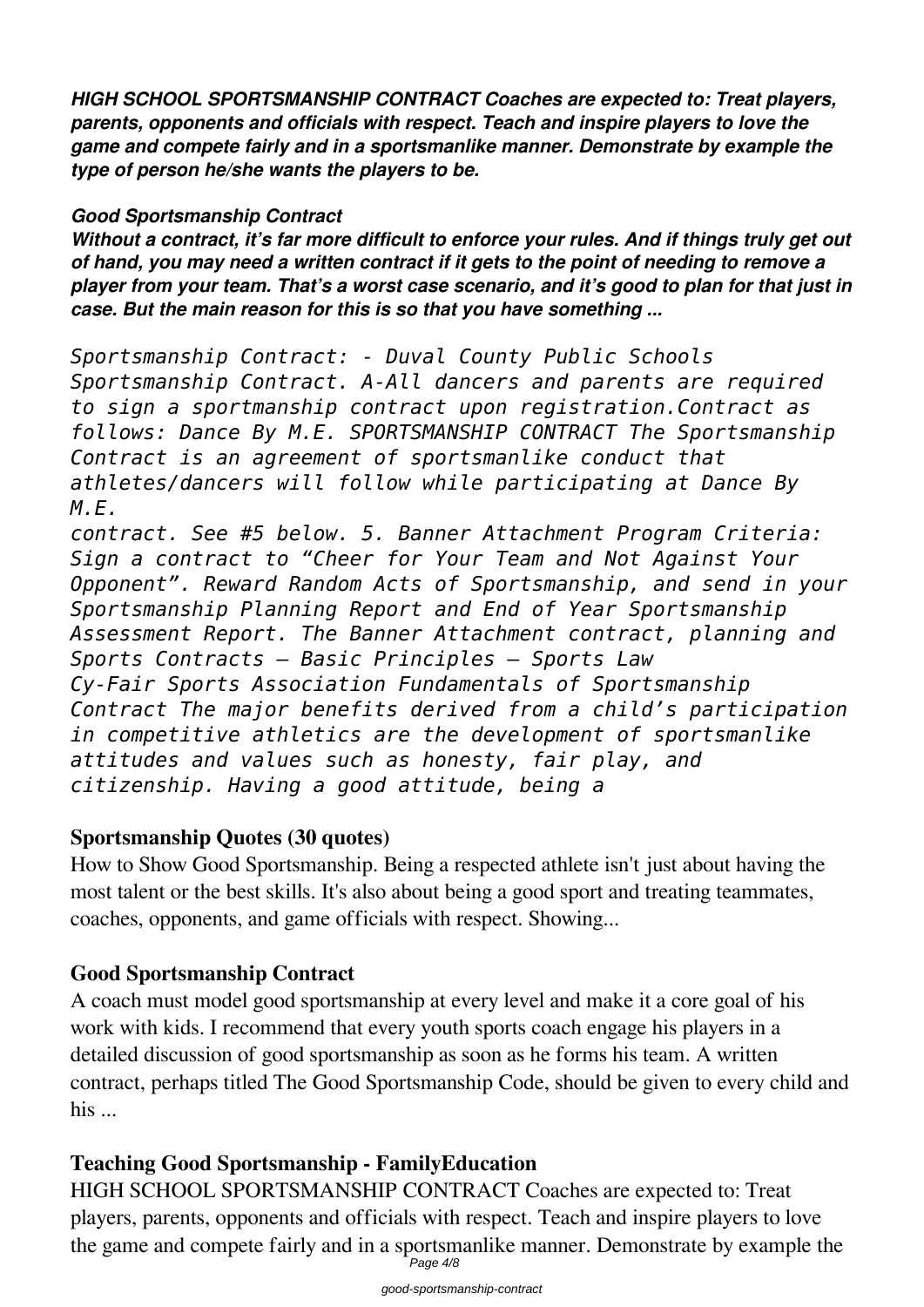*HIGH SCHOOL SPORTSMANSHIP CONTRACT Coaches are expected to: Treat players, parents, opponents and officials with respect. Teach and inspire players to love the game and compete fairly and in a sportsmanlike manner. Demonstrate by example the type of person he/she wants the players to be.*

#### *Good Sportsmanship Contract*

*Without a contract, it's far more difficult to enforce your rules. And if things truly get out of hand, you may need a written contract if it gets to the point of needing to remove a player from your team. That's a worst case scenario, and it's good to plan for that just in case. But the main reason for this is so that you have something ...*

*Sportsmanship Contract: - Duval County Public Schools Sportsmanship Contract. A-All dancers and parents are required to sign a sportmanship contract upon registration.Contract as follows: Dance By M.E. SPORTSMANSHIP CONTRACT The Sportsmanship Contract is an agreement of sportsmanlike conduct that athletes/dancers will follow while participating at Dance By M.E.*

*contract. See #5 below. 5. Banner Attachment Program Criteria: Sign a contract to "Cheer for Your Team and Not Against Your Opponent". Reward Random Acts of Sportsmanship, and send in your Sportsmanship Planning Report and End of Year Sportsmanship Assessment Report. The Banner Attachment contract, planning and Sports Contracts – Basic Principles – Sports Law Cy-Fair Sports Association Fundamentals of Sportsmanship Contract The major benefits derived from a child's participation in competitive athletics are the development of sportsmanlike attitudes and values such as honesty, fair play, and citizenship. Having a good attitude, being a*

#### **Sportsmanship Quotes (30 quotes)**

How to Show Good Sportsmanship. Being a respected athlete isn't just about having the most talent or the best skills. It's also about being a good sport and treating teammates, coaches, opponents, and game officials with respect. Showing...

#### **Good Sportsmanship Contract**

A coach must model good sportsmanship at every level and make it a core goal of his work with kids. I recommend that every youth sports coach engage his players in a detailed discussion of good sportsmanship as soon as he forms his team. A written contract, perhaps titled The Good Sportsmanship Code, should be given to every child and his ...

## **Teaching Good Sportsmanship - FamilyEducation**

HIGH SCHOOL SPORTSMANSHIP CONTRACT Coaches are expected to: Treat players, parents, opponents and officials with respect. Teach and inspire players to love the game and compete fairly and in a sportsmanlike manner. Demonstrate by example the Page 4/8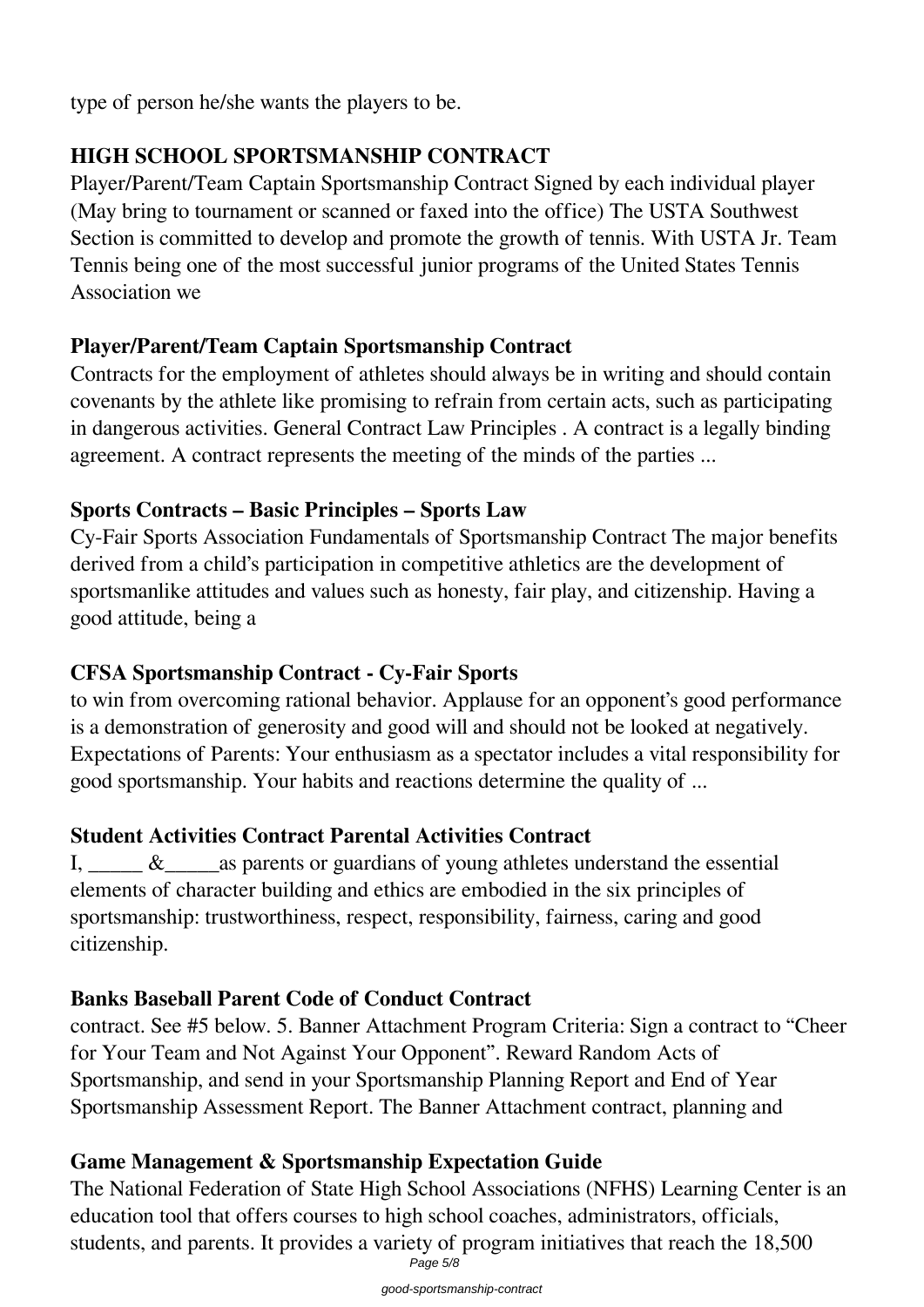type of person he/she wants the players to be.

## **HIGH SCHOOL SPORTSMANSHIP CONTRACT**

Player/Parent/Team Captain Sportsmanship Contract Signed by each individual player (May bring to tournament or scanned or faxed into the office) The USTA Southwest Section is committed to develop and promote the growth of tennis. With USTA Jr. Team Tennis being one of the most successful junior programs of the United States Tennis Association we

## **Player/Parent/Team Captain Sportsmanship Contract**

Contracts for the employment of athletes should always be in writing and should contain covenants by the athlete like promising to refrain from certain acts, such as participating in dangerous activities. General Contract Law Principles . A contract is a legally binding agreement. A contract represents the meeting of the minds of the parties ...

## **Sports Contracts – Basic Principles – Sports Law**

Cy-Fair Sports Association Fundamentals of Sportsmanship Contract The major benefits derived from a child's participation in competitive athletics are the development of sportsmanlike attitudes and values such as honesty, fair play, and citizenship. Having a good attitude, being a

#### **CFSA Sportsmanship Contract - Cy-Fair Sports**

to win from overcoming rational behavior. Applause for an opponent's good performance is a demonstration of generosity and good will and should not be looked at negatively. Expectations of Parents: Your enthusiasm as a spectator includes a vital responsibility for good sportsmanship. Your habits and reactions determine the quality of ...

## **Student Activities Contract Parental Activities Contract**

I,  $\&$  as parents or guardians of young athletes understand the essential elements of character building and ethics are embodied in the six principles of sportsmanship: trustworthiness, respect, responsibility, fairness, caring and good citizenship.

## **Banks Baseball Parent Code of Conduct Contract**

contract. See #5 below. 5. Banner Attachment Program Criteria: Sign a contract to "Cheer for Your Team and Not Against Your Opponent". Reward Random Acts of Sportsmanship, and send in your Sportsmanship Planning Report and End of Year Sportsmanship Assessment Report. The Banner Attachment contract, planning and

## **Game Management & Sportsmanship Expectation Guide**

The National Federation of State High School Associations (NFHS) Learning Center is an education tool that offers courses to high school coaches, administrators, officials, students, and parents. It provides a variety of program initiatives that reach the 18,500 Page 5/8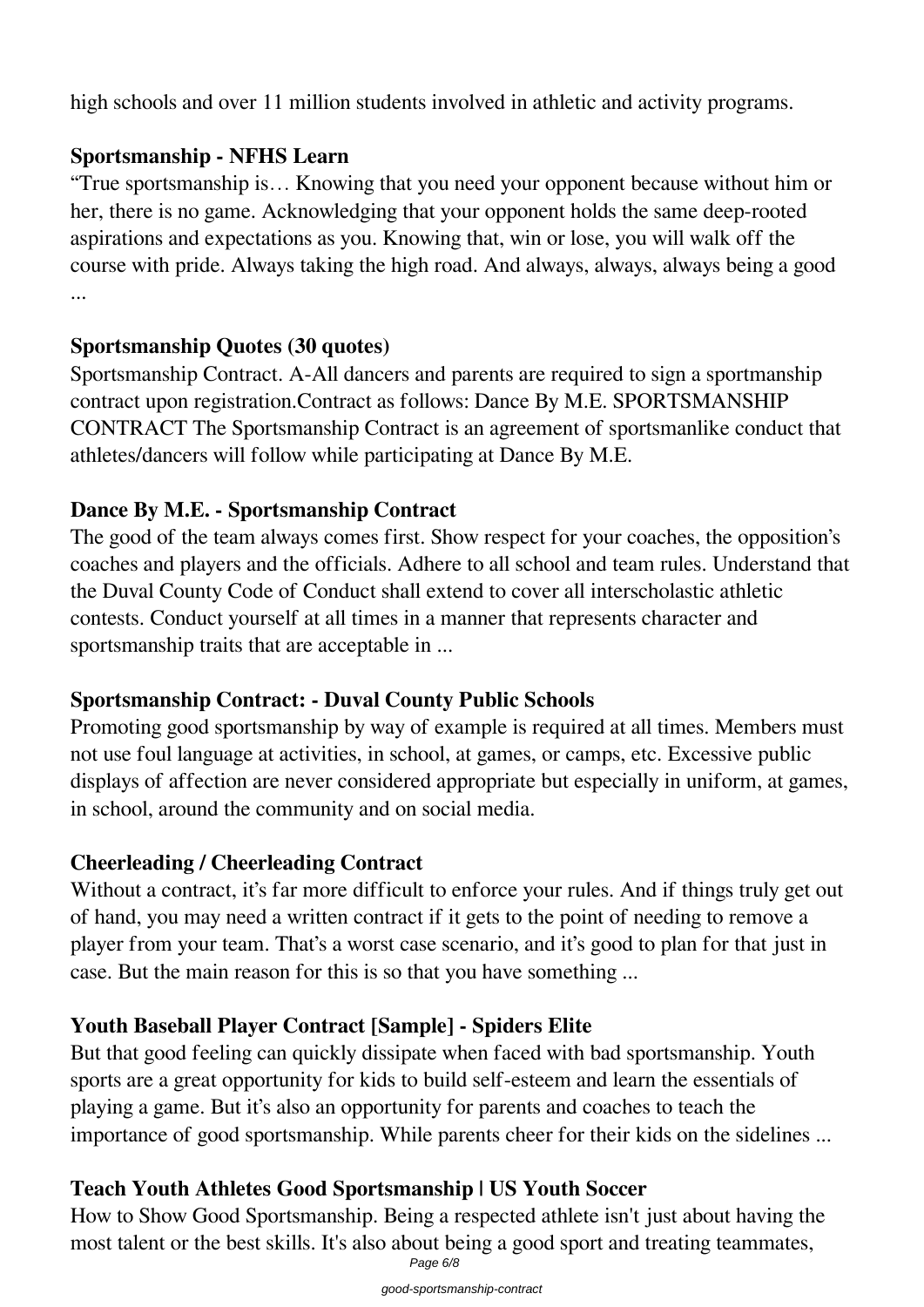high schools and over 11 million students involved in athletic and activity programs.

## **Sportsmanship - NFHS Learn**

"True sportsmanship is… Knowing that you need your opponent because without him or her, there is no game. Acknowledging that your opponent holds the same deep-rooted aspirations and expectations as you. Knowing that, win or lose, you will walk off the course with pride. Always taking the high road. And always, always, always being a good ...

## **Sportsmanship Quotes (30 quotes)**

Sportsmanship Contract. A-All dancers and parents are required to sign a sportmanship contract upon registration.Contract as follows: Dance By M.E. SPORTSMANSHIP CONTRACT The Sportsmanship Contract is an agreement of sportsmanlike conduct that athletes/dancers will follow while participating at Dance By M.E.

## **Dance By M.E. - Sportsmanship Contract**

The good of the team always comes first. Show respect for your coaches, the opposition's coaches and players and the officials. Adhere to all school and team rules. Understand that the Duval County Code of Conduct shall extend to cover all interscholastic athletic contests. Conduct yourself at all times in a manner that represents character and sportsmanship traits that are acceptable in ...

## **Sportsmanship Contract: - Duval County Public Schools**

Promoting good sportsmanship by way of example is required at all times. Members must not use foul language at activities, in school, at games, or camps, etc. Excessive public displays of affection are never considered appropriate but especially in uniform, at games, in school, around the community and on social media.

## **Cheerleading / Cheerleading Contract**

Without a contract, it's far more difficult to enforce your rules. And if things truly get out of hand, you may need a written contract if it gets to the point of needing to remove a player from your team. That's a worst case scenario, and it's good to plan for that just in case. But the main reason for this is so that you have something ...

## **Youth Baseball Player Contract [Sample] - Spiders Elite**

But that good feeling can quickly dissipate when faced with bad sportsmanship. Youth sports are a great opportunity for kids to build self-esteem and learn the essentials of playing a game. But it's also an opportunity for parents and coaches to teach the importance of good sportsmanship. While parents cheer for their kids on the sidelines ...

# **Teach Youth Athletes Good Sportsmanship | US Youth Soccer**

How to Show Good Sportsmanship. Being a respected athlete isn't just about having the most talent or the best skills. It's also about being a good sport and treating teammates, Page 6/8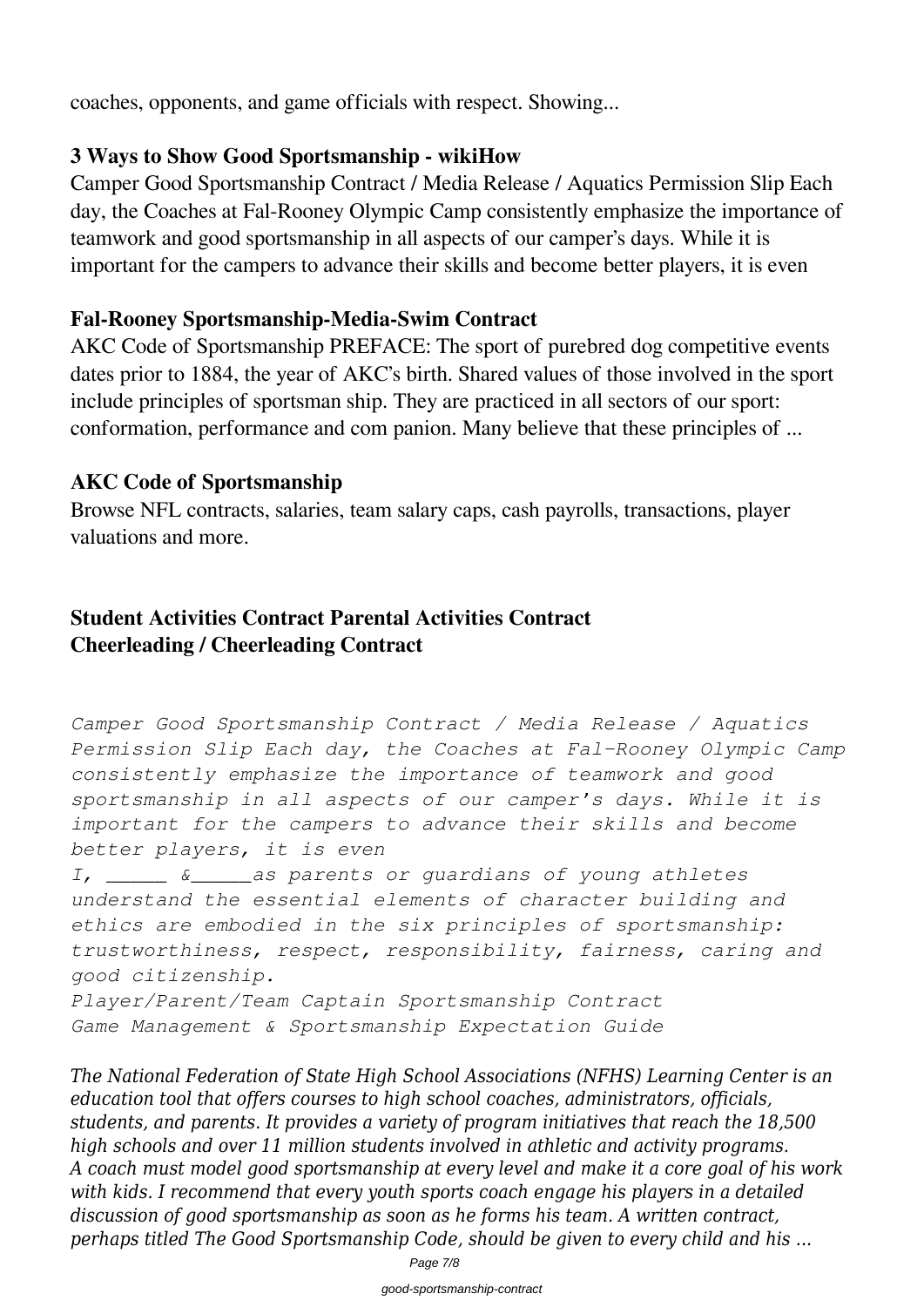coaches, opponents, and game officials with respect. Showing...

#### **3 Ways to Show Good Sportsmanship - wikiHow**

Camper Good Sportsmanship Contract / Media Release / Aquatics Permission Slip Each day, the Coaches at Fal-Rooney Olympic Camp consistently emphasize the importance of teamwork and good sportsmanship in all aspects of our camper's days. While it is important for the campers to advance their skills and become better players, it is even

#### **Fal-Rooney Sportsmanship-Media-Swim Contract**

AKC Code of Sportsmanship PREFACE: The sport of purebred dog competitive events dates prior to 1884, the year of AKC's birth. Shared values of those involved in the sport include principles of sportsman ship. They are practiced in all sectors of our sport: conformation, performance and com panion. Many believe that these principles of ...

#### **AKC Code of Sportsmanship**

Browse NFL contracts, salaries, team salary caps, cash payrolls, transactions, player valuations and more.

## **Student Activities Contract Parental Activities Contract Cheerleading / Cheerleading Contract**

```
Camper Good Sportsmanship Contract / Media Release / Aquatics
Permission Slip Each day, the Coaches at Fal-Rooney Olympic Camp
consistently emphasize the importance of teamwork and good
sportsmanship in all aspects of our camper's days. While it is
important for the campers to advance their skills and become
better players, it is even
I, _____ &_____as parents or guardians of young athletes
understand the essential elements of character building and
ethics are embodied in the six principles of sportsmanship:
trustworthiness, respect, responsibility, fairness, caring and
good citizenship.
Player/Parent/Team Captain Sportsmanship Contract
Game Management & Sportsmanship Expectation Guide
```
*The National Federation of State High School Associations (NFHS) Learning Center is an education tool that offers courses to high school coaches, administrators, officials, students, and parents. It provides a variety of program initiatives that reach the 18,500 high schools and over 11 million students involved in athletic and activity programs. A coach must model good sportsmanship at every level and make it a core goal of his work with kids. I recommend that every youth sports coach engage his players in a detailed discussion of good sportsmanship as soon as he forms his team. A written contract, perhaps titled The Good Sportsmanship Code, should be given to every child and his ...*

Page 7/8